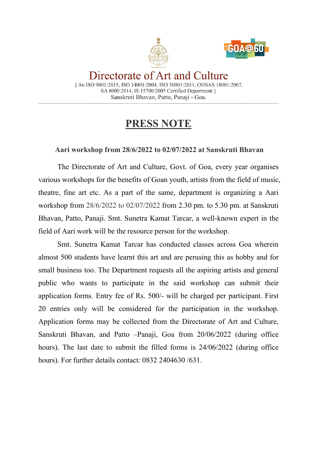



Directorate of Art and Culture {An ISO 9001:2015, ISO 14001:2004, ISO 50001:2011, OHSAS 18001:2007, SA 8000:2014, IS 15700:2005 Certified Department } Sanskruti Bhavan, Patto, Panaii - Goa.

## **PRESS NOTE**

## **Aari workshop from 28/6/2022 to 02/07/2022 at Sanskruti Bhavan**

The Directorate of Art and Culture, Govt. of Goa, every year organises various workshops for the benefits of Goan youth, artists from the field of music, theatre, fine art etc. As a part of the same, department is organizing a Aari workshop from 28/6/2022 to 02/07/2022 from 2.30 pm. to 5.30 pm. at Sanskruti Bhavan, Patto, Panaji. Smt. Sunetra Kamat Tarcar, a well-known expert in the field of Aari work will be the resource person for the workshop.

Smt. Sunetra Kamat Tarcar has conducted classes across Goa wherein almost 500 students have learnt this art and are perusing this as hobby and for small business too. The Department requests all the aspiring artists and general public who wants to participate in the said workshop can submit their application forms. Entry fee of Rs. 500/- will be charged per participant. First 20 entries only will be considered for the participation in the workshop. Application forms may be collected from the Directorate of Art and Culture, Sanskruti Bhavan, and Patto –Panaji, Goa from 20/06/2022 (during office hours). The last date to submit the filled forms is 24/06/2022 (during office hours). For further details contact: 0832 2404630 /631.